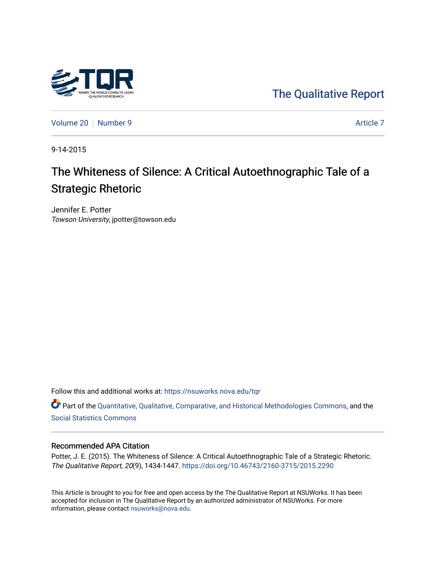

[The Qualitative Report](https://nsuworks.nova.edu/tqr) 

[Volume 20](https://nsuworks.nova.edu/tqr/vol20) [Number 9](https://nsuworks.nova.edu/tqr/vol20/iss9) [Article 7](https://nsuworks.nova.edu/tqr/vol20/iss9/7) Article 7 Article 7 Article 7 Article 7 Article 7 Article 7

9-14-2015

# The Whiteness of Silence: A Critical Autoethnographic Tale of a Strategic Rhetoric

Jennifer E. Potter Towson University, jpotter@towson.edu

Follow this and additional works at: [https://nsuworks.nova.edu/tqr](https://nsuworks.nova.edu/tqr?utm_source=nsuworks.nova.edu%2Ftqr%2Fvol20%2Fiss9%2F7&utm_medium=PDF&utm_campaign=PDFCoverPages) 

Part of the [Quantitative, Qualitative, Comparative, and Historical Methodologies Commons,](http://network.bepress.com/hgg/discipline/423?utm_source=nsuworks.nova.edu%2Ftqr%2Fvol20%2Fiss9%2F7&utm_medium=PDF&utm_campaign=PDFCoverPages) and the [Social Statistics Commons](http://network.bepress.com/hgg/discipline/1275?utm_source=nsuworks.nova.edu%2Ftqr%2Fvol20%2Fiss9%2F7&utm_medium=PDF&utm_campaign=PDFCoverPages) 

#### Recommended APA Citation

Potter, J. E. (2015). The Whiteness of Silence: A Critical Autoethnographic Tale of a Strategic Rhetoric. The Qualitative Report, 20(9), 1434-1447. <https://doi.org/10.46743/2160-3715/2015.2290>

This Article is brought to you for free and open access by the The Qualitative Report at NSUWorks. It has been accepted for inclusion in The Qualitative Report by an authorized administrator of NSUWorks. For more information, please contact [nsuworks@nova.edu.](mailto:nsuworks@nova.edu)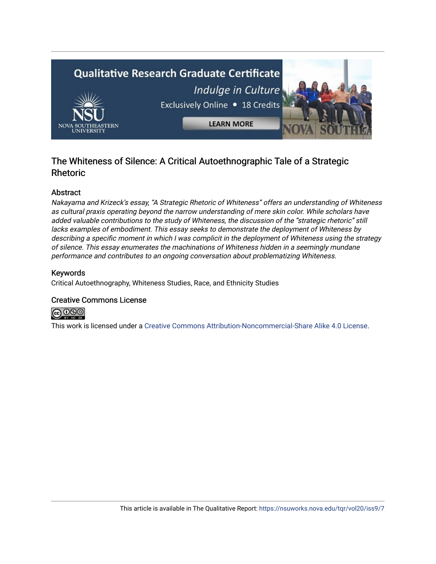

## The Whiteness of Silence: A Critical Autoethnographic Tale of a Strategic Rhetoric

## Abstract

Nakayama and Krizeck's essay, "A Strategic Rhetoric of Whiteness" offers an understanding of Whiteness as cultural praxis operating beyond the narrow understanding of mere skin color. While scholars have added valuable contributions to the study of Whiteness, the discussion of the "strategic rhetoric" still lacks examples of embodiment. This essay seeks to demonstrate the deployment of Whiteness by describing a specific moment in which I was complicit in the deployment of Whiteness using the strategy of silence. This essay enumerates the machinations of Whiteness hidden in a seemingly mundane performance and contributes to an ongoing conversation about problematizing Whiteness.

## Keywords

Critical Autoethnography, Whiteness Studies, Race, and Ethnicity Studies

### Creative Commons License



This work is licensed under a [Creative Commons Attribution-Noncommercial-Share Alike 4.0 License](https://creativecommons.org/licenses/by-nc-sa/4.0/).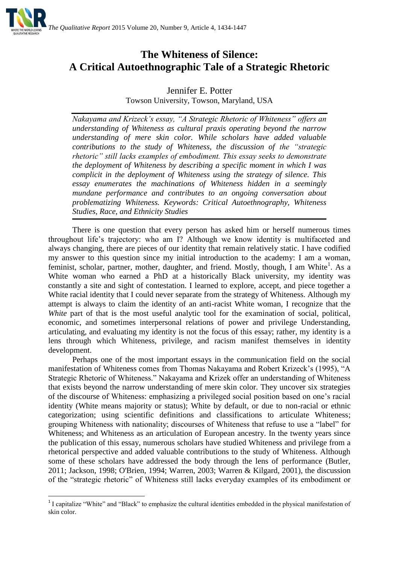

## **The Whiteness of Silence: A Critical Autoethnographic Tale of a Strategic Rhetoric**

## Jennifer E. Potter Towson University, Towson, Maryland, USA

*Nakayama and Krizeck's essay, "A Strategic Rhetoric of Whiteness" offers an understanding of Whiteness as cultural praxis operating beyond the narrow understanding of mere skin color. While scholars have added valuable contributions to the study of Whiteness, the discussion of the "strategic rhetoric" still lacks examples of embodiment. This essay seeks to demonstrate the deployment of Whiteness by describing a specific moment in which I was complicit in the deployment of Whiteness using the strategy of silence. This essay enumerates the machinations of Whiteness hidden in a seemingly mundane performance and contributes to an ongoing conversation about problematizing Whiteness. Keywords: Critical Autoethnography, Whiteness Studies, Race, and Ethnicity Studies*

There is one question that every person has asked him or herself numerous times throughout life's trajectory: who am I? Although we know identity is multifaceted and always changing, there are pieces of our identity that remain relatively static. I have codified my answer to this question since my initial introduction to the academy: I am a woman, feminist, scholar, partner, mother, daughter, and friend. Mostly, though, I am White<sup>1</sup>. As a White woman who earned a PhD at a historically Black university, my identity was constantly a site and sight of contestation. I learned to explore, accept, and piece together a White racial identity that I could never separate from the strategy of Whiteness. Although my attempt is always to claim the identity of an anti-racist White woman, I recognize that the *White* part of that is the most useful analytic tool for the examination of social, political, economic, and sometimes interpersonal relations of power and privilege Understanding, articulating, and evaluating my identity is not the focus of this essay; rather, my identity is a lens through which Whiteness, privilege, and racism manifest themselves in identity development.

Perhaps one of the most important essays in the communication field on the social manifestation of Whiteness comes from Thomas Nakayama and Robert Krizeck's (1995), "A Strategic Rhetoric of Whiteness." Nakayama and Krizek offer an understanding of Whiteness that exists beyond the narrow understanding of mere skin color. They uncover six strategies of the discourse of Whiteness: emphasizing a privileged social position based on one's racial identity (White means majority or status); White by default, or due to non-racial or ethnic categorization; using scientific definitions and classifications to articulate Whiteness; grouping Whiteness with nationality; discourses of Whiteness that refuse to use a "label" for Whiteness; and Whiteness as an articulation of European ancestry. In the twenty years since the publication of this essay, numerous scholars have studied Whiteness and privilege from a rhetorical perspective and added valuable contributions to the study of Whiteness. Although some of these scholars have addressed the body through the lens of performance (Butler, 2011; Jackson, 1998; O'Brien, 1994; Warren, 2003; Warren & Kilgard, 2001), the discussion of the "strategic rhetoric" of Whiteness still lacks everyday examples of its embodiment or

**.** 

<sup>&</sup>lt;sup>1</sup> I capitalize "White" and "Black" to emphasize the cultural identities embedded in the physical manifestation of skin color.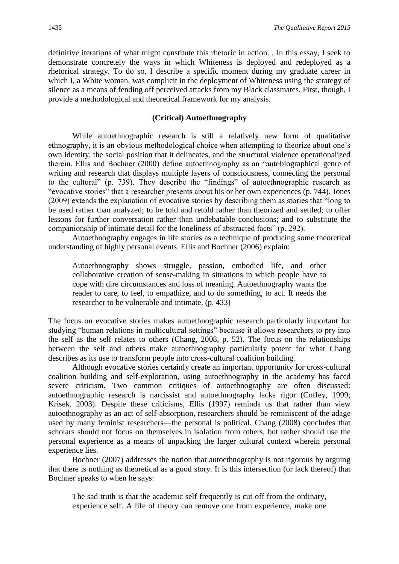definitive iterations of what might constitute this rhetoric in action. . In this essay, I seek to demonstrate concretely the ways in which Whiteness is deployed and redeployed as a rhetorical strategy. To do so, I describe a specific moment during my graduate career in which I, a White woman, was complicit in the deployment of Whiteness using the strategy of silence as a means of fending off perceived attacks from my Black classmates. First, though, I provide a methodological and theoretical framework for my analysis.

#### **(Critical) Autoethnography**

While autoethnographic research is still a relatively new form of qualitative ethnography, it is an obvious methodological choice when attempting to theorize about one's own identity, the social position that it delineates, and the structural violence operationalized therein. Ellis and Bochner (2000) define autoethnography as an "autobiographical genre of writing and research that displays multiple layers of consciousness, connecting the personal to the cultural" (p. 739). They describe the "findings" of autoethnographic research as "evocative stories" that a researcher presents about his or her own experiences (p. 744). Jones (2009) extends the explanation of evocative stories by describing them as stories that "long to be used rather than analyzed; to be told and retold rather than theorized and settled; to offer lessons for further conversation rather than undebatable conclusions; and to substitute the companionship of intimate detail for the loneliness of abstracted facts" (p. 292).

Autoethnography engages in life stories as a technique of producing some theoretical understanding of highly personal events. Ellis and Bochner (2006) explain:

Autoethnography shows struggle, passion, embodied life, and other collaborative creation of sense-making in situations in which people have to cope with dire circumstances and loss of meaning. Autoethnography wants the reader to care, to feel, to empathize, and to do something, to act. It needs the researcher to be vulnerable and intimate. (p. 433)

The focus on evocative stories makes autoethnographic research particularly important for studying "human relations in multicultural settings" because it allows researchers to pry into the self as the self relates to others (Chang, 2008, p. 52). The focus on the relationships between the self and others make autoethnography particularly potent for what Chang describes as its use to transform people into cross-cultural coalition building.

Although evocative stories certainly create an important opportunity for cross-cultural coalition building and self-exploration, using autoethnography in the academy has faced severe criticism. Two common critiques of autoethnography are often discussed: autoethnographic research is narcissist and autoethnography lacks rigor (Coffey, 1999; Krisek, 2003). Despite these criticisms, Ellis (1997) reminds us that rather than view autoethnography as an act of self-absorption, researchers should be reminiscent of the adage used by many feminist researchers—the personal is political. Chang (2008) concludes that scholars should not focus on themselves in isolation from others, but rather should use the personal experience as a means of unpacking the larger cultural context wherein personal experience lies.

Bochner (2007) addresses the notion that autoethnography is not rigorous by arguing that there is nothing as theoretical as a good story. It is this intersection (or lack thereof) that Bochner speaks to when he says:

The sad truth is that the academic self frequently is cut off from the ordinary, experience self. A life of theory can remove one from experience, make one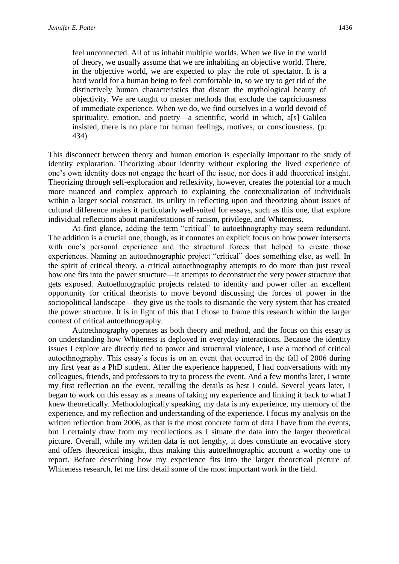feel unconnected. All of us inhabit multiple worlds. When we live in the world of theory, we usually assume that we are inhabiting an objective world. There, in the objective world, we are expected to play the role of spectator. It is a hard world for a human being to feel comfortable in, so we try to get rid of the distinctively human characteristics that distort the mythological beauty of objectivity. We are taught to master methods that exclude the capriciousness of immediate experience. When we do, we find ourselves in a world devoid of spirituality, emotion, and poetry—a scientific, world in which, a[s] Galileo insisted, there is no place for human feelings, motives, or consciousness. (p. 434)

This disconnect between theory and human emotion is especially important to the study of identity exploration. Theorizing about identity without exploring the lived experience of one's own identity does not engage the heart of the issue, nor does it add theoretical insight. Theorizing through self-exploration and reflexivity, however, creates the potential for a much more nuanced and complex approach to explaining the contextualization of individuals within a larger social construct. Its utility in reflecting upon and theorizing about issues of cultural difference makes it particularly well-suited for essays, such as this one, that explore individual reflections about manifestations of racism, privilege, and Whiteness.

At first glance, adding the term "critical" to autoethnography may seem redundant. The addition is a crucial one, though, as it connotes an explicit focus on how power intersects with one's personal experience and the structural forces that helped to create those experiences. Naming an autoethnographic project "critical" does something else, as well. In the spirit of critical theory, a critical autoethnography attempts to do more than just reveal how one fits into the power structure—it attempts to deconstruct the very power structure that gets exposed. Autoethnographic projects related to identity and power offer an excellent opportunity for critical theorists to move beyond discussing the forces of power in the sociopolitical landscape—they give us the tools to dismantle the very system that has created the power structure. It is in light of this that I chose to frame this research within the larger context of critical autoethnography.

Autoethnography operates as both theory and method, and the focus on this essay is on understanding how Whiteness is deployed in everyday interactions. Because the identity issues I explore are directly tied to power and structural violence, I use a method of critical autoethnography. This essay's focus is on an event that occurred in the fall of 2006 during my first year as a PhD student. After the experience happened, I had conversations with my colleagues, friends, and professors to try to process the event. And a few months later, I wrote my first reflection on the event, recalling the details as best I could. Several years later, I began to work on this essay as a means of taking my experience and linking it back to what I knew theoretically. Methodologically speaking, my data is my experience, my memory of the experience, and my reflection and understanding of the experience. I focus my analysis on the written reflection from 2006, as that is the most concrete form of data I have from the events, but I certainly draw from my recollections as I situate the data into the larger theoretical picture. Overall, while my written data is not lengthy, it does constitute an evocative story and offers theoretical insight, thus making this autoethnographic account a worthy one to report. Before describing how my experience fits into the larger theoretical picture of Whiteness research, let me first detail some of the most important work in the field.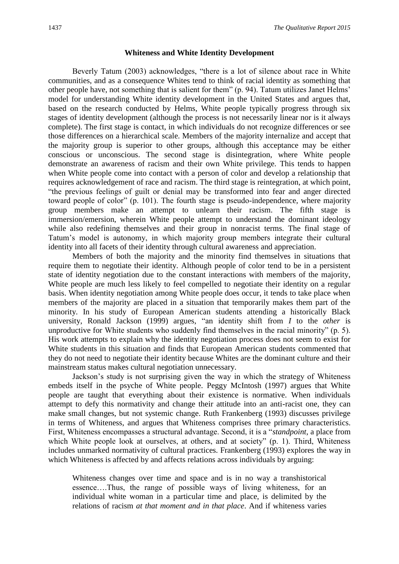#### **Whiteness and White Identity Development**

Beverly Tatum (2003) acknowledges, "there is a lot of silence about race in White communities, and as a consequence Whites tend to think of racial identity as something that other people have, not something that is salient for them" (p. 94). Tatum utilizes Janet Helms' model for understanding White identity development in the United States and argues that, based on the research conducted by Helms, White people typically progress through six stages of identity development (although the process is not necessarily linear nor is it always complete). The first stage is contact, in which individuals do not recognize differences or see those differences on a hierarchical scale. Members of the majority internalize and accept that the majority group is superior to other groups, although this acceptance may be either conscious or unconscious. The second stage is disintegration, where White people demonstrate an awareness of racism and their own White privilege. This tends to happen when White people come into contact with a person of color and develop a relationship that requires acknowledgement of race and racism. The third stage is reintegration, at which point, "the previous feelings of guilt or denial may be transformed into fear and anger directed toward people of color" (p. 101). The fourth stage is pseudo-independence, where majority group members make an attempt to unlearn their racism. The fifth stage is immersion/emersion, wherein White people attempt to understand the dominant ideology while also redefining themselves and their group in nonracist terms. The final stage of Tatum's model is autonomy, in which majority group members integrate their cultural identity into all facets of their identity through cultural awareness and appreciation.

Members of both the majority and the minority find themselves in situations that require them to negotiate their identity. Although people of color tend to be in a persistent state of identity negotiation due to the constant interactions with members of the majority, White people are much less likely to feel compelled to negotiate their identity on a regular basis. When identity negotiation among White people does occur, it tends to take place when members of the majority are placed in a situation that temporarily makes them part of the minority. In his study of European American students attending a historically Black university, Ronald Jackson (1999) argues, "an identity shift from *I* to the *other* is unproductive for White students who suddenly find themselves in the racial minority" (p. 5). His work attempts to explain why the identity negotiation process does not seem to exist for White students in this situation and finds that European American students commented that they do not need to negotiate their identity because Whites are the dominant culture and their mainstream status makes cultural negotiation unnecessary.

Jackson's study is not surprising given the way in which the strategy of Whiteness embeds itself in the psyche of White people. Peggy McIntosh (1997) argues that White people are taught that everything about their existence is normative. When individuals attempt to defy this normativity and change their attitude into an anti-racist one, they can make small changes, but not systemic change. Ruth Frankenberg (1993) discusses privilege in terms of Whiteness, and argues that Whiteness comprises three primary characteristics. First, Whiteness encompasses a structural advantage. Second, it is a "*standpoint*, a place from which White people look at ourselves, at others, and at society" (p. 1). Third, Whiteness includes unmarked normativity of cultural practices. Frankenberg (1993) explores the way in which Whiteness is affected by and affects relations across individuals by arguing:

Whiteness changes over time and space and is in no way a transhistorical essence….Thus, the range of possible ways of living whiteness, for an individual white woman in a particular time and place, is delimited by the relations of racism *at that moment and in that place*. And if whiteness varies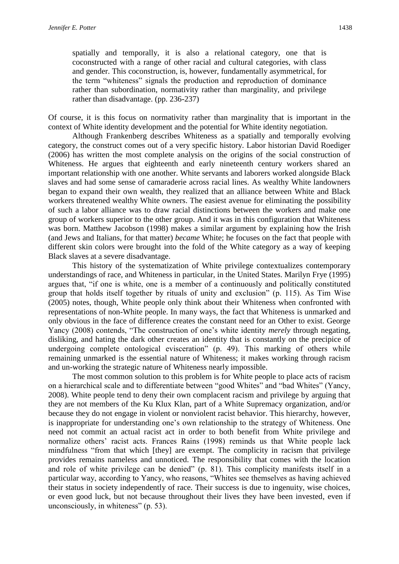spatially and temporally, it is also a relational category, one that is coconstructed with a range of other racial and cultural categories, with class and gender. This coconstruction, is, however, fundamentally asymmetrical, for the term "whiteness" signals the production and reproduction of dominance rather than subordination, normativity rather than marginality, and privilege rather than disadvantage. (pp. 236-237)

Of course, it is this focus on normativity rather than marginality that is important in the context of White identity development and the potential for White identity negotiation.

Although Frankenberg describes Whiteness as a spatially and temporally evolving category, the construct comes out of a very specific history. Labor historian David Roediger (2006) has written the most complete analysis on the origins of the social construction of Whiteness. He argues that eighteenth and early nineteenth century workers shared an important relationship with one another. White servants and laborers worked alongside Black slaves and had some sense of camaraderie across racial lines. As wealthy White landowners began to expand their own wealth, they realized that an alliance between White and Black workers threatened wealthy White owners. The easiest avenue for eliminating the possibility of such a labor alliance was to draw racial distinctions between the workers and make one group of workers superior to the other group. And it was in this configuration that Whiteness was born. Matthew Jacobson (1998) makes a similar argument by explaining how the Irish (and Jews and Italians, for that matter) *became* White; he focuses on the fact that people with different skin colors were brought into the fold of the White category as a way of keeping Black slaves at a severe disadvantage.

This history of the systematization of White privilege contextualizes contemporary understandings of race, and Whiteness in particular, in the United States. Marilyn Frye (1995) argues that, "if one is white, one is a member of a continuously and politically constituted group that holds itself together by rituals of unity and exclusion" (p. 115). As Tim Wise (2005) notes, though, White people only think about their Whiteness when confronted with representations of non-White people. In many ways, the fact that Whiteness is unmarked and only obvious in the face of difference creates the constant need for an Other to exist. George Yancy (2008) contends, "The construction of one's white identity *merely* through negating, disliking, and hating the dark other creates an identity that is constantly on the precipice of undergoing complete ontological evisceration" (p. 49). This marking of others while remaining unmarked is the essential nature of Whiteness; it makes working through racism and un-working the strategic nature of Whiteness nearly impossible.

The most common solution to this problem is for White people to place acts of racism on a hierarchical scale and to differentiate between "good Whites" and "bad Whites" (Yancy, 2008). White people tend to deny their own complacent racism and privilege by arguing that they are not members of the Ku Klux Klan, part of a White Supremacy organization, and/or because they do not engage in violent or nonviolent racist behavior. This hierarchy, however, is inappropriate for understanding one's own relationship to the strategy of Whiteness. One need not commit an actual racist act in order to both benefit from White privilege and normalize others' racist acts. Frances Rains (1998) reminds us that White people lack mindfulness "from that which [they] are exempt. The complicity in racism that privilege provides remains nameless and unnoticed. The responsibility that comes with the location and role of white privilege can be denied" (p. 81). This complicity manifests itself in a particular way, according to Yancy, who reasons, "Whites see themselves as having achieved their status in society independently of race. Their success is due to ingenuity, wise choices, or even good luck, but not because throughout their lives they have been invested, even if unconsciously, in whiteness" (p. 53).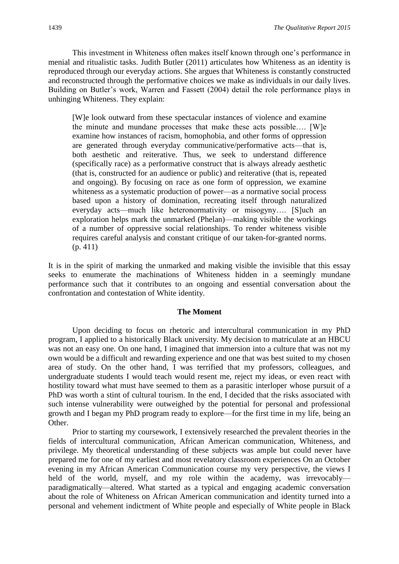This investment in Whiteness often makes itself known through one's performance in menial and ritualistic tasks. Judith Butler (2011) articulates how Whiteness as an identity is reproduced through our everyday actions. She argues that Whiteness is constantly constructed and reconstructed through the performative choices we make as individuals in our daily lives. Building on Butler's work, Warren and Fassett (2004) detail the role performance plays in unhinging Whiteness. They explain:

[W]e look outward from these spectacular instances of violence and examine the minute and mundane processes that make these acts possible…. [W]e examine how instances of racism, homophobia, and other forms of oppression are generated through everyday communicative/performative acts—that is, both aesthetic and reiterative. Thus, we seek to understand difference (specifically race) as a performative construct that is always already aesthetic (that is, constructed for an audience or public) and reiterative (that is, repeated and ongoing). By focusing on race as one form of oppression, we examine whiteness as a systematic production of power—as a normative social process based upon a history of domination, recreating itself through naturalized everyday acts—much like heteronormativity or misogyny…. [S]uch an exploration helps mark the unmarked (Phelan)—making visible the workings of a number of oppressive social relationships. To render whiteness visible requires careful analysis and constant critique of our taken-for-granted norms. (p. 411)

It is in the spirit of marking the unmarked and making visible the invisible that this essay seeks to enumerate the machinations of Whiteness hidden in a seemingly mundane performance such that it contributes to an ongoing and essential conversation about the confrontation and contestation of White identity.

#### **The Moment**

Upon deciding to focus on rhetoric and intercultural communication in my PhD program, I applied to a historically Black university. My decision to matriculate at an HBCU was not an easy one. On one hand, I imagined that immersion into a culture that was not my own would be a difficult and rewarding experience and one that was best suited to my chosen area of study. On the other hand, I was terrified that my professors, colleagues, and undergraduate students I would teach would resent me, reject my ideas, or even react with hostility toward what must have seemed to them as a parasitic interloper whose pursuit of a PhD was worth a stint of cultural tourism. In the end, I decided that the risks associated with such intense vulnerability were outweighed by the potential for personal and professional growth and I began my PhD program ready to explore—for the first time in my life, being an Other.

Prior to starting my coursework, I extensively researched the prevalent theories in the fields of intercultural communication, African American communication, Whiteness, and privilege. My theoretical understanding of these subjects was ample but could never have prepared me for one of my earliest and most revelatory classroom experiences On an October evening in my African American Communication course my very perspective, the views I held of the world, myself, and my role within the academy, was irrevocably paradigmatically—altered. What started as a typical and engaging academic conversation about the role of Whiteness on African American communication and identity turned into a personal and vehement indictment of White people and especially of White people in Black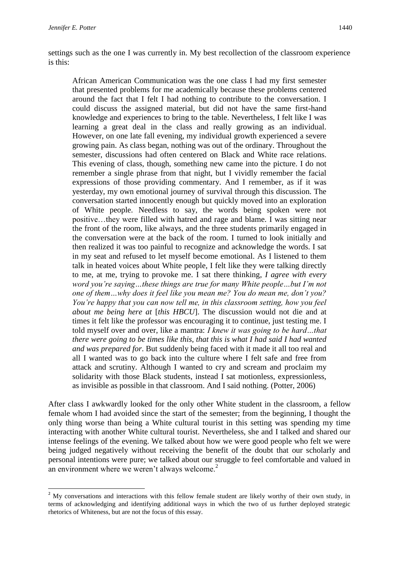**.** 

settings such as the one I was currently in. My best recollection of the classroom experience is this:

African American Communication was the one class I had my first semester that presented problems for me academically because these problems centered around the fact that I felt I had nothing to contribute to the conversation. I could discuss the assigned material, but did not have the same first-hand knowledge and experiences to bring to the table. Nevertheless, I felt like I was learning a great deal in the class and really growing as an individual. However, on one late fall evening, my individual growth experienced a severe growing pain. As class began, nothing was out of the ordinary. Throughout the semester, discussions had often centered on Black and White race relations. This evening of class, though, something new came into the picture. I do not remember a single phrase from that night, but I vividly remember the facial expressions of those providing commentary. And I remember, as if it was yesterday, my own emotional journey of survival through this discussion. The conversation started innocently enough but quickly moved into an exploration of White people. Needless to say, the words being spoken were not positive…they were filled with hatred and rage and blame. I was sitting near the front of the room, like always, and the three students primarily engaged in the conversation were at the back of the room. I turned to look initially and then realized it was too painful to recognize and acknowledge the words. I sat in my seat and refused to let myself become emotional. As I listened to them talk in heated voices about White people, I felt like they were talking directly to me, at me, trying to provoke me. I sat there thinking, *I agree with every word you're saying…these things are true for many White people…but I'm not one of them…why does it feel like you mean me? You do mean me, don't you? You're happy that you can now tell me, in this classroom setting, how you feel about me being here at* [*this HBCU*]. The discussion would not die and at times it felt like the professor was encouraging it to continue, just testing me. I told myself over and over, like a mantra: *I knew it was going to be hard…that there were going to be times like this, that this is what I had said I had wanted and was prepared for*. But suddenly being faced with it made it all too real and all I wanted was to go back into the culture where I felt safe and free from attack and scrutiny. Although I wanted to cry and scream and proclaim my solidarity with those Black students, instead I sat motionless, expressionless, as invisible as possible in that classroom. And I said nothing. (Potter, 2006)

After class I awkwardly looked for the only other White student in the classroom, a fellow female whom I had avoided since the start of the semester; from the beginning, I thought the only thing worse than being a White cultural tourist in this setting was spending my time interacting with another White cultural tourist. Nevertheless, she and I talked and shared our intense feelings of the evening. We talked about how we were good people who felt we were being judged negatively without receiving the benefit of the doubt that our scholarly and personal intentions were pure; we talked about our struggle to feel comfortable and valued in an environment where we weren't always welcome. $2^2$ 

<sup>&</sup>lt;sup>2</sup> My conversations and interactions with this fellow female student are likely worthy of their own study, in terms of acknowledging and identifying additional ways in which the two of us further deployed strategic rhetorics of Whiteness, but are not the focus of this essay.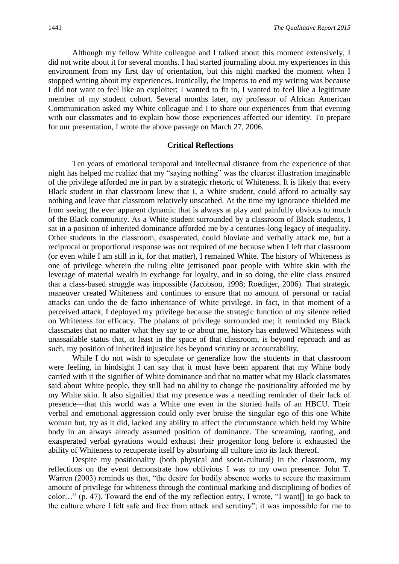Although my fellow White colleague and I talked about this moment extensively, I did not write about it for several months. I had started journaling about my experiences in this environment from my first day of orientation, but this night marked the moment when I stopped writing about my experiences. Ironically, the impetus to end my writing was because I did not want to feel like an exploiter; I wanted to fit in, I wanted to feel like a legitimate member of my student cohort. Several months later, my professor of African American Communication asked my White colleague and I to share our experiences from that evening with our classmates and to explain how those experiences affected our identity. To prepare for our presentation, I wrote the above passage on March 27, 2006.

#### **Critical Reflections**

Ten years of emotional temporal and intellectual distance from the experience of that night has helped me realize that my "saying nothing" was the clearest illustration imaginable of the privilege afforded me in part by a strategic rhetoric of Whiteness. It is likely that every Black student in that classroom knew that I, a White student, could afford to actually say nothing and leave that classroom relatively unscathed. At the time my ignorance shielded me from seeing the ever apparent dynamic that is always at play and painfully obvious to much of the Black community. As a White student surrounded by a classroom of Black students, I sat in a position of inherited dominance afforded me by a centuries-long legacy of inequality. Other students in the classroom, exasperated, could bloviate and verbally attack me, but a reciprocal or proportional response was not required of me because when I left that classroom (or even while I am still in it, for that matter), I remained White. The history of Whiteness is one of privilege wherein the ruling elite jettisoned poor people with White skin with the leverage of material wealth in exchange for loyalty, and in so doing, the elite class ensured that a class-based struggle was impossible (Jacobson, 1998; Roediger, 2006). That strategic maneuver created Whiteness and continues to ensure that no amount of personal or racial attacks can undo the de facto inheritance of White privilege. In fact, in that moment of a perceived attack, I deployed my privilege because the strategic function of my silence relied on Whiteness for efficacy. The phalanx of privilege surrounded me; it reminded my Black classmates that no matter what they say to or about me, history has endowed Whiteness with unassailable status that, at least in the space of that classroom, is beyond reproach and as such, my position of inherited injustice lies beyond scrutiny or accountability.

While I do not wish to speculate or generalize how the students in that classroom were feeling, in hindsight I can say that it must have been apparent that my White body carried with it the signifier of White dominance and that no matter what my Black classmates said about White people, they still had no ability to change the positionality afforded me by my White skin. It also signified that my presence was a needling reminder of their lack of presence—that this world was a White one even in the storied halls of an HBCU. Their verbal and emotional aggression could only ever bruise the singular ego of this one White woman but, try as it did, lacked any ability to affect the circumstance which held my White body in an always already assumed position of dominance. The screaming, ranting, and exasperated verbal gyrations would exhaust their progenitor long before it exhausted the ability of Whiteness to recuperate itself by absorbing all culture into its lack thereof.

Despite my positionality (both physical and socio-cultural) in the classroom, my reflections on the event demonstrate how oblivious I was to my own presence. John T. Warren (2003) reminds us that, "the desire for bodily absence works to secure the maximum amount of privilege for whiteness through the continual marking and disciplining of bodies of color…" (p. 47). Toward the end of the my reflection entry, I wrote, "I want[] to go back to the culture where I felt safe and free from attack and scrutiny"; it was impossible for me to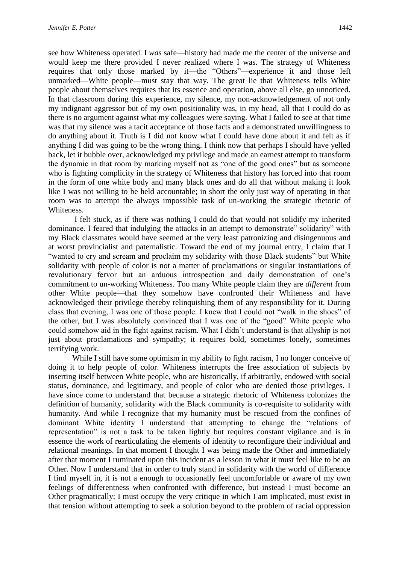see how Whiteness operated. I *was* safe—history had made me the center of the universe and would keep me there provided I never realized where I was. The strategy of Whiteness requires that only those marked by it—the "Others"—experience it and those left unmarked—White people—must stay that way. The great lie that Whiteness tells White people about themselves requires that its essence and operation, above all else, go unnoticed. In that classroom during this experience, my silence, my non-acknowledgement of not only my indignant aggressor but of my own positionality was, in my head, all that I could do as there is no argument against what my colleagues were saying. What I failed to see at that time was that my silence was a tacit acceptance of those facts and a demonstrated unwillingness to do anything about it. Truth is I did not know what I could have done about it and felt as if anything I did was going to be the wrong thing. I think now that perhaps I should have yelled back, let it bubble over, acknowledged my privilege and made an earnest attempt to transform the dynamic in that room by marking myself not as "one of the good ones" but as someone who is fighting complicity in the strategy of Whiteness that history has forced into that room in the form of one white body and many black ones and do all that without making it look like I was not willing to be held accountable; in short the only just way of operating in that room was to attempt the always impossible task of un-working the strategic rhetoric of Whiteness.

I felt stuck, as if there was nothing I could do that would not solidify my inherited dominance. I feared that indulging the attacks in an attempt to demonstrate" solidarity" with my Black classmates would have seemed at the very least patronizing and disingenuous and at worst provincialist and paternalistic. Toward the end of my journal entry, I claim that I "wanted to cry and scream and proclaim my solidarity with those Black students" but White solidarity with people of color is not a matter of proclamations or singular instantiations of revolutionary fervor but an arduous introspection and daily demonstration of one's commitment to un-working Whiteness. Too many White people claim they are *different* from other White people—that they somehow have confronted their Whiteness and have acknowledged their privilege thereby relinquishing them of any responsibility for it. During class that evening, I was one of those people. I knew that I could not "walk in the shoes" of the other, but I was absolutely convinced that I was one of the "good" White people who could somehow aid in the fight against racism. What I didn't understand is that allyship is not just about proclamations and sympathy; it requires bold, sometimes lonely, sometimes terrifying work.

While I still have some optimism in my ability to fight racism, I no longer conceive of doing it to help people of color. Whiteness interrupts the free association of subjects by inserting itself between White people, who are historically, if arbitrarily, endowed with social status, dominance, and legitimacy, and people of color who are denied those privileges. I have since come to understand that because a strategic rhetoric of Whiteness colonizes the definition of humanity, solidarity with the Black community is co-requisite to solidarity with humanity. And while I recognize that my humanity must be rescued from the confines of dominant White identity I understand that attempting to change the "relations of representation" is not a task to be taken lightly but requires constant vigilance and is in essence the work of rearticulating the elements of identity to reconfigure their individual and relational meanings. In that moment I thought I was being made the Other and immediately after that moment I ruminated upon this incident as a lesson in what it must feel like to be an Other. Now I understand that in order to truly stand in solidarity with the world of difference I find myself in, it is not a enough to occasionally feel uncomfortable or aware of my own feelings of differentness when confronted with difference, but instead I must become an Other pragmatically; I must occupy the very critique in which I am implicated, must exist in that tension without attempting to seek a solution beyond to the problem of racial oppression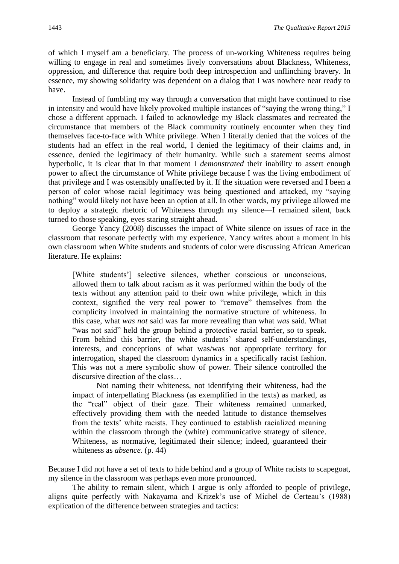of which I myself am a beneficiary. The process of un-working Whiteness requires being willing to engage in real and sometimes lively conversations about Blackness, Whiteness, oppression, and difference that require both deep introspection and unflinching bravery. In essence, my showing solidarity was dependent on a dialog that I was nowhere near ready to have.

Instead of fumbling my way through a conversation that might have continued to rise in intensity and would have likely provoked multiple instances of "saying the wrong thing," I chose a different approach. I failed to acknowledge my Black classmates and recreated the circumstance that members of the Black community routinely encounter when they find themselves face-to-face with White privilege. When I literally denied that the voices of the students had an effect in the real world, I denied the legitimacy of their claims and, in essence, denied the legitimacy of their humanity. While such a statement seems almost hyperbolic, it is clear that in that moment I *demonstrated* their inability to assert enough power to affect the circumstance of White privilege because I was the living embodiment of that privilege and I was ostensibly unaffected by it. If the situation were reversed and I been a person of color whose racial legitimacy was being questioned and attacked, my "saying nothing" would likely not have been an option at all. In other words, my privilege allowed me to deploy a strategic rhetoric of Whiteness through my silence—I remained silent, back turned to those speaking, eyes staring straight ahead.

George Yancy (2008) discusses the impact of White silence on issues of race in the classroom that resonate perfectly with my experience. Yancy writes about a moment in his own classroom when White students and students of color were discussing African American literature. He explains:

[White students'] selective silences, whether conscious or unconscious, allowed them to talk about racism as it was performed within the body of the texts without any attention paid to their own white privilege, which in this context, signified the very real power to "remove" themselves from the complicity involved in maintaining the normative structure of whiteness. In this case, what *was not* said was far more revealing than what *was* said. What "was not said" held the group behind a protective racial barrier, so to speak. From behind this barrier, the white students' shared self-understandings, interests, and conceptions of what was/was not appropriate territory for interrogation, shaped the classroom dynamics in a specifically racist fashion. This was not a mere symbolic show of power. Their silence controlled the discursive direction of the class…

Not naming their whiteness, not identifying their whiteness, had the impact of interpellating Blackness (as exemplified in the texts) as marked, as the "real" object of their gaze. Their whiteness remained unmarked, effectively providing them with the needed latitude to distance themselves from the texts' white racists. They continued to establish racialized meaning within the classroom through the (white) communicative strategy of silence. Whiteness, as normative, legitimated their silence; indeed, guaranteed their whiteness as *absence*. (p. 44)

Because I did not have a set of texts to hide behind and a group of White racists to scapegoat, my silence in the classroom was perhaps even more pronounced.

The ability to remain silent, which I argue is only afforded to people of privilege, aligns quite perfectly with Nakayama and Krizek's use of Michel de Certeau's (1988) explication of the difference between strategies and tactics: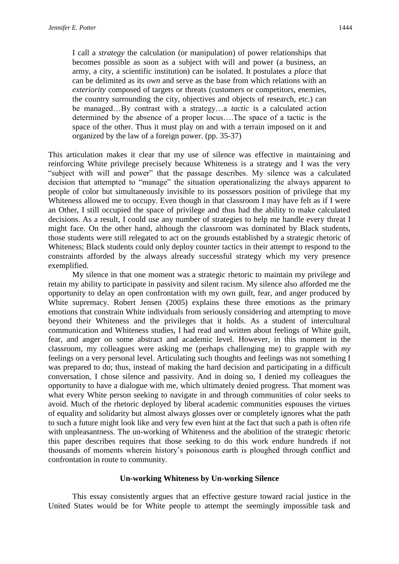I call a *strategy* the calculation (or manipulation) of power relationships that becomes possible as soon as a subject with will and power (a business, an army, a city, a scientific institution) can be isolated. It postulates a *place* that can be delimited as its *own* and serve as the base from which relations with an *exteriority* composed of targets or threats (customers or competitors, enemies, the country surrounding the city, objectives and objects of research, etc.) can be managed…By contrast with a strategy…a *tactic* is a calculated action determined by the absence of a proper locus….The space of a tactic is the space of the other. Thus it must play on and with a terrain imposed on it and organized by the law of a foreign power. (pp. 35-37)

This articulation makes it clear that my use of silence was effective in maintaining and reinforcing White privilege precisely because Whiteness is a strategy and I was the very "subject with will and power" that the passage describes. My silence was a calculated decision that attempted to "manage" the situation operationalizing the always apparent to people of color but simultaneously invisible to its possessors position of privilege that my Whiteness allowed me to occupy. Even though in that classroom I may have felt as if I were an Other, I still occupied the space of privilege and thus had the ability to make calculated decisions. As a result, I could use any number of strategies to help me handle every threat I might face. On the other hand, although the classroom was dominated by Black students, those students were still relegated to act on the grounds established by a strategic rhetoric of Whiteness; Black students could only deploy counter tactics in their attempt to respond to the constraints afforded by the always already successful strategy which my very presence exemplified.

My silence in that one moment was a strategic rhetoric to maintain my privilege and retain my ability to participate in passivity and silent racism. My silence also afforded me the opportunity to delay an open confrontation with my own guilt, fear, and anger produced by White supremacy. Robert Jensen (2005) explains these three emotions as the primary emotions that constrain White individuals from seriously considering and attempting to move beyond their Whiteness and the privileges that it holds. As a student of intercultural communication and Whiteness studies, I had read and written about feelings of White guilt, fear, and anger on some abstract and academic level. However, in this moment in the classroom, my colleagues were asking me (perhaps challenging me) to grapple with *my* feelings on a very personal level. Articulating such thoughts and feelings was not something I was prepared to do; thus, instead of making the hard decision and participating in a difficult conversation, I chose silence and passivity. And in doing so, I denied my colleagues the opportunity to have a dialogue with me, which ultimately denied progress. That moment was what every White person seeking to navigate in and through communities of color seeks to avoid. Much of the rhetoric deployed by liberal academic communities espouses the virtues of equality and solidarity but almost always glosses over or completely ignores what the path to such a future might look like and very few even hint at the fact that such a path is often rife with unpleasantness. The un-working of Whiteness and the abolition of the strategic rhetoric this paper describes requires that those seeking to do this work endure hundreds if not thousands of moments wherein history's poisonous earth is ploughed through conflict and confrontation in route to community.

#### **Un-working Whiteness by Un-working Silence**

This essay consistently argues that an effective gesture toward racial justice in the United States would be for White people to attempt the seemingly impossible task and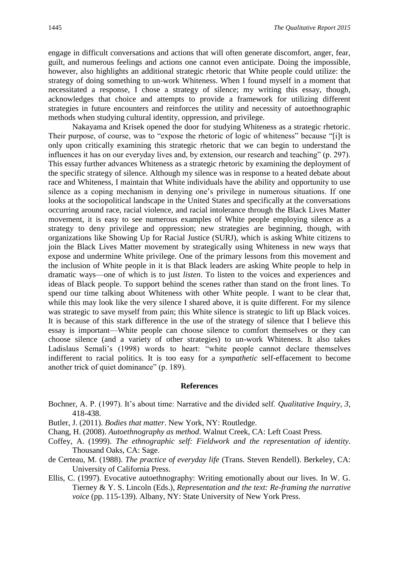engage in difficult conversations and actions that will often generate discomfort, anger, fear, guilt, and numerous feelings and actions one cannot even anticipate. Doing the impossible, however, also highlights an additional strategic rhetoric that White people could utilize: the strategy of doing something to un-work Whiteness. When I found myself in a moment that necessitated a response, I chose a strategy of silence; my writing this essay, though, acknowledges that choice and attempts to provide a framework for utilizing different strategies in future encounters and reinforces the utility and necessity of autoethnographic methods when studying cultural identity, oppression, and privilege.

Nakayama and Krisek opened the door for studying Whiteness as a strategic rhetoric. Their purpose, of course, was to "expose the rhetoric of logic of whiteness" because "[i]t is only upon critically examining this strategic rhetoric that we can begin to understand the influences it has on our everyday lives and, by extension, our research and teaching" (p. 297). This essay further advances Whiteness as a strategic rhetoric by examining the deployment of the specific strategy of silence. Although my silence was in response to a heated debate about race and Whiteness, I maintain that White individuals have the ability and opportunity to use silence as a coping mechanism in denying one's privilege in numerous situations. If one looks at the sociopolitical landscape in the United States and specifically at the conversations occurring around race, racial violence, and racial intolerance through the Black Lives Matter movement, it is easy to see numerous examples of White people employing silence as a strategy to deny privilege and oppression; new strategies are beginning, though, with organizations like Showing Up for Racial Justice (SURJ), which is asking White citizens to join the Black Lives Matter movement by strategically using Whiteness in new ways that expose and undermine White privilege. One of the primary lessons from this movement and the inclusion of White people in it is that Black leaders are asking White people to help in dramatic ways—one of which is to just *listen*. To listen to the voices and experiences and ideas of Black people. To support behind the scenes rather than stand on the front lines. To spend our time talking about Whiteness with other White people. I want to be clear that, while this may look like the very silence I shared above, it is quite different. For my silence was strategic to save myself from pain; this White silence is strategic to lift up Black voices. It is because of this stark difference in the use of the strategy of silence that I believe this essay is important—White people can choose silence to comfort themselves or they can choose silence (and a variety of other strategies) to un-work Whiteness. It also takes Ladislaus Semali's (1998) words to heart: "white people cannot declare themselves indifferent to racial politics. It is too easy for a *sympathetic* self-effacement to become another trick of quiet dominance" (p. 189).

#### **References**

- Bochner, A. P. (1997). It's about time: Narrative and the divided self. *Qualitative Inquiry, 3*, 418-438.
- Butler, J. (2011). *Bodies that matter*. New York, NY: Routledge.
- Chang, H. (2008). *Autoethnography as method*. Walnut Creek, CA: Left Coast Press.
- Coffey, A. (1999). *The ethnographic self: Fieldwork and the representation of identity*. Thousand Oaks, CA: Sage.
- de Certeau, M. (1988). *The practice of everyday life* (Trans. Steven Rendell). Berkeley, CA: University of California Press.
- Ellis, C. (1997). Evocative autoethnography: Writing emotionally about our lives. In W. G. Tierney & Y. S. Lincoln (Eds.), *Representation and the text: Re-framing the narrative voice* (pp. 115-139). Albany, NY: State University of New York Press.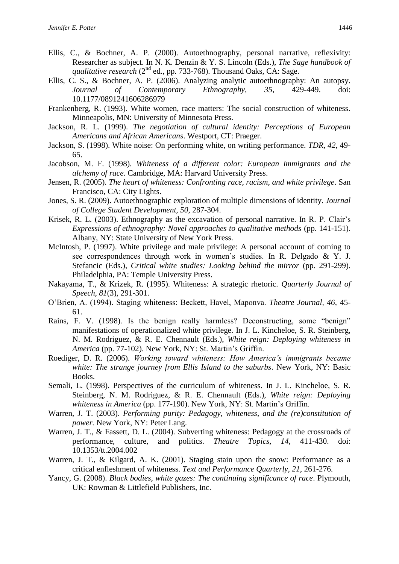- Ellis, C., & Bochner, A. P. (2000). Autoethnography, personal narrative, reflexivity: Researcher as subject. In N. K. Denzin & Y. S. Lincoln (Eds.), *The Sage handbook of qualitative research* (2<sup>nd</sup> ed., pp. 733-768). Thousand Oaks, CA: Sage.
- Ellis, C. S., & Bochner, A. P. (2006). Analyzing analytic autoethnography: An autopsy. *Journal of Contemporary Ethnography, 35*, 429-449. doi: 10.1177/0891241606286979
- Frankenberg, R. (1993). White women, race matters: The social construction of whiteness. Minneapolis, MN: University of Minnesota Press.
- Jackson, R. L. (1999). *The negotiation of cultural identity: Perceptions of European Americans and African Americans*. Westport, CT: Praeger.
- Jackson, S. (1998). White noise: On performing white, on writing performance. *TDR, 42*, 49- 65.
- Jacobson, M. F. (1998). *Whiteness of a different color: European immigrants and the alchemy of race*. Cambridge, MA: Harvard University Press.
- Jensen, R. (2005). *The heart of whiteness: Confronting race, racism, and white privilege*. San Francisco, CA: City Lights.
- Jones, S. R. (2009). Autoethnographic exploration of multiple dimensions of identity. *Journal of College Student Development, 50*, 287-304.
- Krisek, R. L. (2003). Ethnography as the excavation of personal narrative. In R. P. Clair's *Expressions of ethnography: Novel approaches to qualitative methods* (pp. 141-151). Albany, NY: State University of New York Press.
- McIntosh, P. (1997). White privilege and male privilege: A personal account of coming to see correspondences through work in women's studies. In R. Delgado & Y. J. Stefancic (Eds.), *Critical white studies: Looking behind the mirror* (pp. 291-299). Philadelphia, PA: Temple University Press.
- Nakayama, T., & Krizek, R. (1995). Whiteness: A strategic rhetoric. *Quarterly Journal of Speech, 81*(3), 291-301.
- O'Brien, A. (1994). Staging whiteness: Beckett, Havel, Maponva. *Theatre Journal, 46*, 45- 61.
- Rains, F. V. (1998). Is the benign really harmless? Deconstructing, some "benign" manifestations of operationalized white privilege. In J. L. Kincheloe, S. R. Steinberg, N. M. Rodriguez, & R. E. Chennault (Eds.), *White reign: Deploying whiteness in America* (pp. 77-102). New York, NY: St. Martin's Griffin.
- Roediger, D. R. (2006). *Working toward whiteness: How America's immigrants became white: The strange journey from Ellis Island to the suburbs*. New York, NY: Basic Books.
- Semali, L. (1998). Perspectives of the curriculum of whiteness. In J. L. Kincheloe, S. R. Steinberg, N. M. Rodriguez, & R. E. Chennault (Eds.), *White reign: Deploying whiteness in America* (pp. 177-190). New York, NY: St. Martin's Griffin.
- Warren, J. T. (2003). *Performing purity: Pedagogy, whiteness, and the (re)constitution of power.* New York, NY: Peter Lang.
- Warren, J. T., & Fassett, D. L. (2004). Subverting whiteness: Pedagogy at the crossroads of performance, culture, and politics. *Theatre Topics, 14*, 411-430. doi: 10.1353/tt.2004.002
- Warren, J. T., & Kilgard, A. K. (2001). Staging stain upon the snow: Performance as a critical enfleshment of whiteness. *Text and Performance Quarterly, 21*, 261-276.
- Yancy, G. (2008). *Black bodies, white gazes: The continuing significance of race*. Plymouth, UK: Rowman & Littlefield Publishers, Inc.